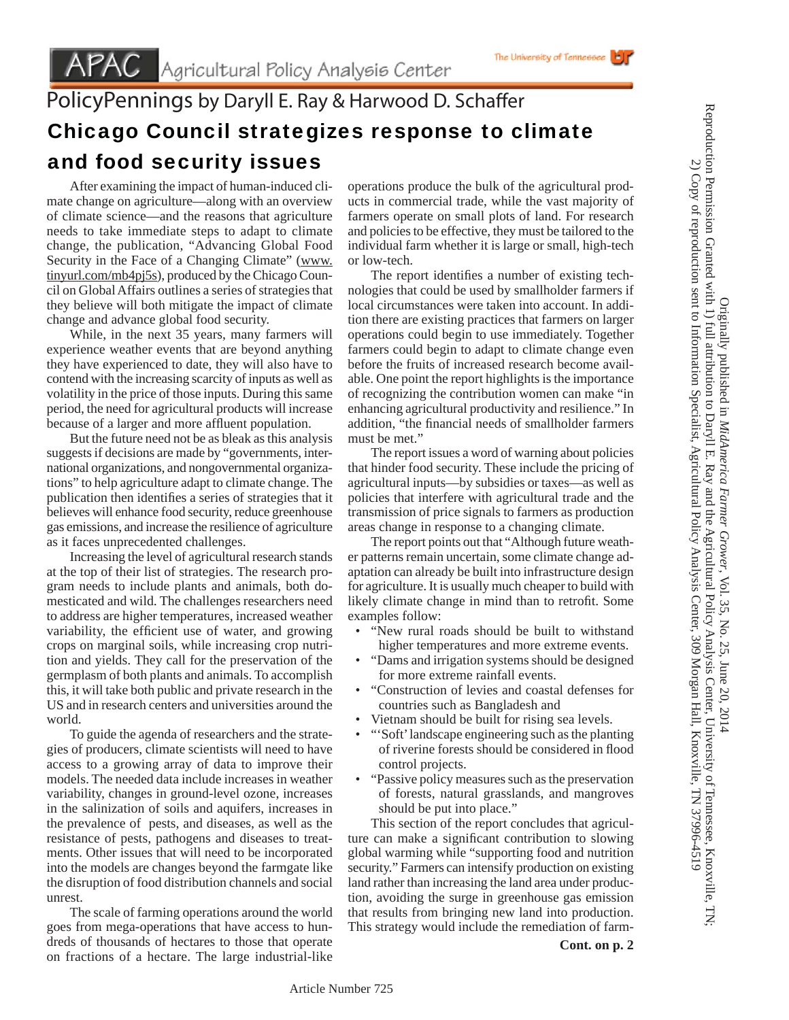## PolicyPennings by Daryll E. Ray & Harwood D. Schaffer Chicago Council strategizes response to climate and food security issues

 After examining the impact of human-induced climate change on agriculture—along with an overview of climate science—and the reasons that agriculture needs to take immediate steps to adapt to climate change, the publication, "Advancing Global Food Security in the Face of a Changing Climate" (www. tinyurl.com/mb4pj5s), produced by the Chicago Council on Global Affairs outlines a series of strategies that they believe will both mitigate the impact of climate change and advance global food security.

 While, in the next 35 years, many farmers will experience weather events that are beyond anything they have experienced to date, they will also have to contend with the increasing scarcity of inputs as well as volatility in the price of those inputs. During this same period, the need for agricultural products will increase because of a larger and more affluent population.

 But the future need not be as bleak as this analysis suggests if decisions are made by "governments, international organizations, and nongovernmental organizations" to help agriculture adapt to climate change. The publication then identifies a series of strategies that it believes will enhance food security, reduce greenhouse gas emissions, and increase the resilience of agriculture as it faces unprecedented challenges.

 Increasing the level of agricultural research stands at the top of their list of strategies. The research program needs to include plants and animals, both domesticated and wild. The challenges researchers need to address are higher temperatures, increased weather variability, the efficient use of water, and growing crops on marginal soils, while increasing crop nutrition and yields. They call for the preservation of the germplasm of both plants and animals. To accomplish this, it will take both public and private research in the US and in research centers and universities around the world.

 To guide the agenda of researchers and the strategies of producers, climate scientists will need to have access to a growing array of data to improve their models. The needed data include increases in weather variability, changes in ground-level ozone, increases in the salinization of soils and aquifers, increases in the prevalence of pests, and diseases, as well as the resistance of pests, pathogens and diseases to treatments. Other issues that will need to be incorporated into the models are changes beyond the farmgate like the disruption of food distribution channels and social unrest.

 The scale of farming operations around the world goes from mega-operations that have access to hundreds of thousands of hectares to those that operate on fractions of a hectare. The large industrial-like operations produce the bulk of the agricultural products in commercial trade, while the vast majority of farmers operate on small plots of land. For research and policies to be effective, they must be tailored to the individual farm whether it is large or small, high-tech or low-tech.

The University of Tennessee

The report identifies a number of existing technologies that could be used by smallholder farmers if local circumstances were taken into account. In addition there are existing practices that farmers on larger operations could begin to use immediately. Together farmers could begin to adapt to climate change even before the fruits of increased research become available. One point the report highlights is the importance of recognizing the contribution women can make "in enhancing agricultural productivity and resilience." In addition, "the financial needs of smallholder farmers must be met."

 The report issues a word of warning about policies that hinder food security. These include the pricing of agricultural inputs—by subsidies or taxes—as well as policies that interfere with agricultural trade and the transmission of price signals to farmers as production areas change in response to a changing climate.

 The report points out that "Although future weather patterns remain uncertain, some climate change adaptation can already be built into infrastructure design for agriculture. It is usually much cheaper to build with likely climate change in mind than to retrofit. Some examples follow:

- "New rural roads should be built to withstand higher temperatures and more extreme events.
- "Dams and irrigation systems should be designed for more extreme rainfall events.
- "Construction of levies and coastal defenses for countries such as Bangladesh and
- Vietnam should be built for rising sea levels.
- "'Soft' landscape engineering such as the planting of riverine forests should be considered in flood control projects.
- "Passive policy measures such as the preservation of forests, natural grasslands, and mangroves should be put into place."

 This section of the report concludes that agriculture can make a significant contribution to slowing global warming while "supporting food and nutrition security." Farmers can intensify production on existing land rather than increasing the land area under production, avoiding the surge in greenhouse gas emission that results from bringing new land into production. This strategy would include the remediation of farm-